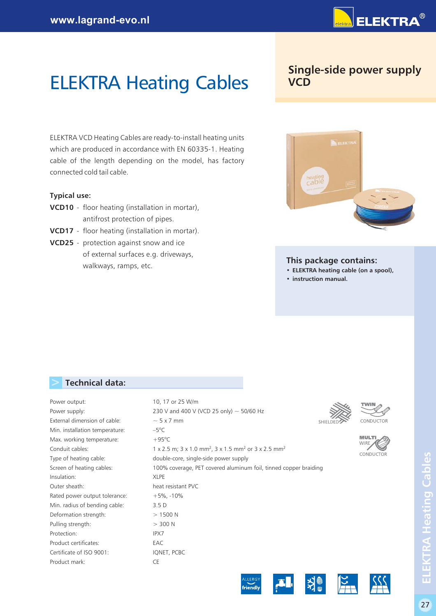

# **ELEKTRA Heating Cables VCD**

ELEKTRA VCD Heating Cables are ready-to-install heating units which are produced in accordance with EN 60335-1. Heating cable of the length depending on the model, has factory connected cold tail cable.

#### **Typical use:**

- **VCD10** floor heating (installation in mortar), antifrost protection of pipes.
- **VCD17** floor heating (installation in mortar).
- **VCD25** protection against snow and ice of external surfaces e.g. driveways, walkways, ramps, etc.

# **Single-side power supply**



#### **This package contains:**

- **• ELEKTRA heating cable (on a spool),**
- **• instruction manual.**

以

# **> Technical data:**

| Power output:                  | 10, 17 or 25 W/m                                                                                                    |                           |
|--------------------------------|---------------------------------------------------------------------------------------------------------------------|---------------------------|
| Power supply:                  | 230 V and 400 V (VCD 25 only) $\sim$ 50/60 Hz                                                                       |                           |
| External dimension of cable:   | $\sim$ 5 x 7 mm                                                                                                     | CONDUCTOR                 |
| Min. installation temperature: | $-5^{\circ}$ C                                                                                                      |                           |
| Max. working temperature:      | $+95^{\circ}$ C                                                                                                     | <b>MULT</b><br><b>WIF</b> |
| Conduit cables:                | $1 \times 2.5$ m; $3 \times 1.0$ mm <sup>2</sup> , $3 \times 1.5$ mm <sup>2</sup> or $3 \times 2.5$ mm <sup>2</sup> |                           |
| Type of heating cable:         | double-core, single-side power supply                                                                               | CONDUCTOR                 |
| Screen of heating cables:      | 100% coverage, PET covered aluminum foil, tinned copper braiding                                                    |                           |
| Insulation:                    | <b>XLPE</b>                                                                                                         |                           |
| Outer sheath:                  | heat resistant PVC                                                                                                  |                           |
| Rated power output tolerance:  | $+5\%$ , -10%                                                                                                       |                           |
| Min. radius of bending cable:  | 3.5 <sub>D</sub>                                                                                                    |                           |
| Deformation strength:          | >1500 N                                                                                                             |                           |
| Pulling strength:              | > 300 N                                                                                                             |                           |
| Protection:                    | IPX7                                                                                                                |                           |
| Product certificates:          | EAC                                                                                                                 |                           |
| Certificate of ISO 9001:       | IQNET, PCBC                                                                                                         |                           |
| Product mark:                  | CE                                                                                                                  |                           |
|                                |                                                                                                                     |                           |

friendly